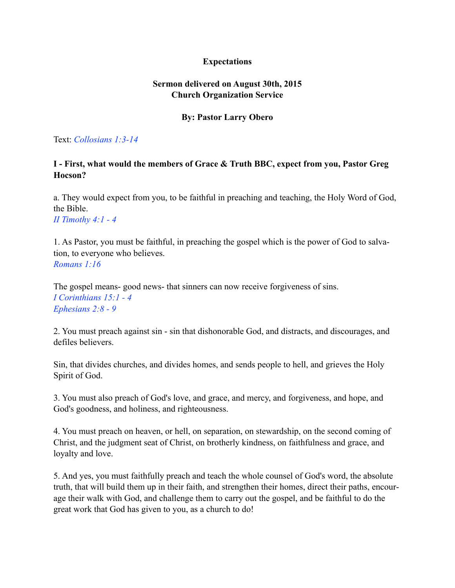# **Expectations**

# **Sermon delivered on August 30th, 2015 Church Organization Service**

## **By: Pastor Larry Obero**

Text: *Collosians 1:3-14*

## **I - First, what would the members of Grace & Truth BBC, expect from you, Pastor Greg Hocson?**

a. They would expect from you, to be faithful in preaching and teaching, the Holy Word of God, the Bible. *II Timothy 4:1 - 4* 

1. As Pastor, you must be faithful, in preaching the gospel which is the power of God to salvation, to everyone who believes. *Romans 1:16* 

The gospel means- good news- that sinners can now receive forgiveness of sins. *I Corinthians 15:1 - 4 Ephesians 2:8 - 9* 

2. You must preach against sin - sin that dishonorable God, and distracts, and discourages, and defiles believers.

Sin, that divides churches, and divides homes, and sends people to hell, and grieves the Holy Spirit of God.

3. You must also preach of God's love, and grace, and mercy, and forgiveness, and hope, and God's goodness, and holiness, and righteousness.

4. You must preach on heaven, or hell, on separation, on stewardship, on the second coming of Christ, and the judgment seat of Christ, on brotherly kindness, on faithfulness and grace, and loyalty and love.

5. And yes, you must faithfully preach and teach the whole counsel of God's word, the absolute truth, that will build them up in their faith, and strengthen their homes, direct their paths, encourage their walk with God, and challenge them to carry out the gospel, and be faithful to do the great work that God has given to you, as a church to do!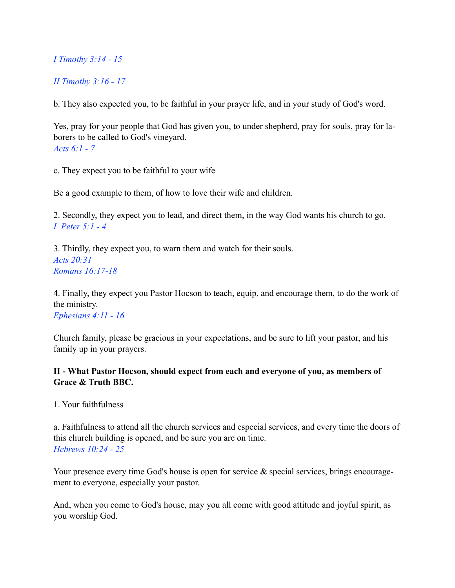*I Timothy 3:14 - 15* 

*II Timothy 3:16 - 17* 

b. They also expected you, to be faithful in your prayer life, and in your study of God's word.

Yes, pray for your people that God has given you, to under shepherd, pray for souls, pray for laborers to be called to God's vineyard. *Acts 6:1 - 7* 

c. They expect you to be faithful to your wife

Be a good example to them, of how to love their wife and children.

2. Secondly, they expect you to lead, and direct them, in the way God wants his church to go. *I Peter 5:1 - 4* 

3. Thirdly, they expect you, to warn them and watch for their souls. *Acts 20:31 Romans 16:17-18* 

4. Finally, they expect you Pastor Hocson to teach, equip, and encourage them, to do the work of the ministry. *Ephesians 4:11 - 16* 

Church family, please be gracious in your expectations, and be sure to lift your pastor, and his family up in your prayers.

# **II - What Pastor Hocson, should expect from each and everyone of you, as members of Grace & Truth BBC.**

1. Your faithfulness

a. Faithfulness to attend all the church services and especial services, and every time the doors of this church building is opened, and be sure you are on time. *Hebrews 10:24 - 25* 

Your presence every time God's house is open for service  $\&$  special services, brings encouragement to everyone, especially your pastor.

And, when you come to God's house, may you all come with good attitude and joyful spirit, as you worship God.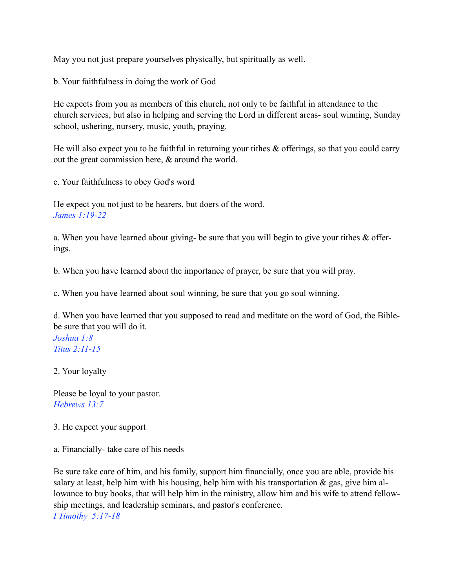May you not just prepare yourselves physically, but spiritually as well.

b. Your faithfulness in doing the work of God

He expects from you as members of this church, not only to be faithful in attendance to the church services, but also in helping and serving the Lord in different areas- soul winning, Sunday school, ushering, nursery, music, youth, praying.

He will also expect you to be faithful in returning your tithes & offerings, so that you could carry out the great commission here, & around the world.

c. Your faithfulness to obey God's word

He expect you not just to be hearers, but doers of the word. *James 1:19-22* 

a. When you have learned about giving- be sure that you will begin to give your tithes & offerings.

b. When you have learned about the importance of prayer, be sure that you will pray.

c. When you have learned about soul winning, be sure that you go soul winning.

d. When you have learned that you supposed to read and meditate on the word of God, the Biblebe sure that you will do it. *Joshua 1:8 Titus 2:11-15* 

2. Your loyalty

Please be loyal to your pastor. *Hebrews 13:7* 

3. He expect your support

a. Financially- take care of his needs

Be sure take care of him, and his family, support him financially, once you are able, provide his salary at least, help him with his housing, help him with his transportation  $\&$  gas, give him allowance to buy books, that will help him in the ministry, allow him and his wife to attend fellowship meetings, and leadership seminars, and pastor's conference. *I Timothy 5:17-18*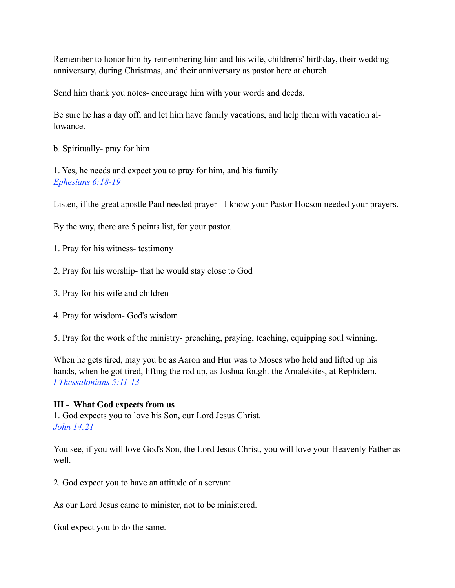Remember to honor him by remembering him and his wife, children's' birthday, their wedding anniversary, during Christmas, and their anniversary as pastor here at church.

Send him thank you notes- encourage him with your words and deeds.

Be sure he has a day off, and let him have family vacations, and help them with vacation allowance.

b. Spiritually- pray for him

1. Yes, he needs and expect you to pray for him, and his family *Ephesians 6:18-19* 

Listen, if the great apostle Paul needed prayer - I know your Pastor Hocson needed your prayers.

By the way, there are 5 points list, for your pastor.

- 1. Pray for his witness- testimony
- 2. Pray for his worship- that he would stay close to God
- 3. Pray for his wife and children
- 4. Pray for wisdom- God's wisdom
- 5. Pray for the work of the ministry- preaching, praying, teaching, equipping soul winning.

When he gets tired, may you be as Aaron and Hur was to Moses who held and lifted up his hands, when he got tired, lifting the rod up, as Joshua fought the Amalekites, at Rephidem. *I Thessalonians 5:11-13* 

## **III - What God expects from us**

1. God expects you to love his Son, our Lord Jesus Christ. *John 14:21* 

You see, if you will love God's Son, the Lord Jesus Christ, you will love your Heavenly Father as well.

2. God expect you to have an attitude of a servant

As our Lord Jesus came to minister, not to be ministered.

God expect you to do the same.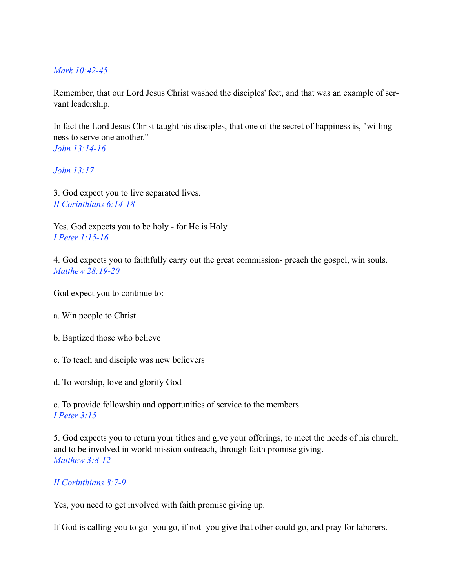### *Mark 10:42-45*

Remember, that our Lord Jesus Christ washed the disciples' feet, and that was an example of servant leadership.

In fact the Lord Jesus Christ taught his disciples, that one of the secret of happiness is, "willingness to serve one another." *John 13:14-16* 

*John 13:17* 

3. God expect you to live separated lives. *II Corinthians 6:14-18* 

Yes, God expects you to be holy - for He is Holy *I Peter 1:15-16* 

4. God expects you to faithfully carry out the great commission- preach the gospel, win souls. *Matthew 28:19-20* 

God expect you to continue to:

- a. Win people to Christ
- b. Baptized those who believe
- c. To teach and disciple was new believers
- d. To worship, love and glorify God

e. To provide fellowship and opportunities of service to the members *I Peter 3:15* 

5. God expects you to return your tithes and give your offerings, to meet the needs of his church, and to be involved in world mission outreach, through faith promise giving. *Matthew 3:8-12* 

#### *II Corinthians 8:7-9*

Yes, you need to get involved with faith promise giving up.

If God is calling you to go- you go, if not- you give that other could go, and pray for laborers.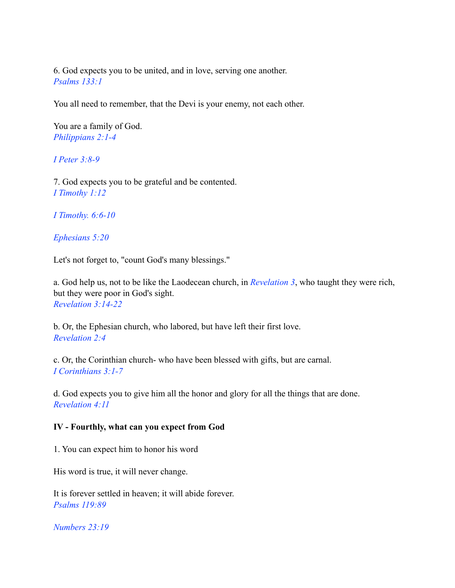6. God expects you to be united, and in love, serving one another. *Psalms 133:1* 

You all need to remember, that the Devi is your enemy, not each other.

You are a family of God. *Philippians 2:1-4* 

*I Peter 3:8-9* 

7. God expects you to be grateful and be contented. *I Timothy 1:12* 

*I Timothy. 6:6-10* 

*Ephesians 5:20* 

Let's not forget to, "count God's many blessings."

a. God help us, not to be like the Laodecean church, in *Revelation 3*, who taught they were rich, but they were poor in God's sight. *Revelation 3:14-22* 

b. Or, the Ephesian church, who labored, but have left their first love. *Revelation 2:4* 

c. Or, the Corinthian church- who have been blessed with gifts, but are carnal. *I Corinthians 3:1-7* 

d. God expects you to give him all the honor and glory for all the things that are done. *Revelation 4:11* 

#### **IV - Fourthly, what can you expect from God**

1. You can expect him to honor his word

His word is true, it will never change.

It is forever settled in heaven; it will abide forever. *Psalms 119:89* 

*Numbers 23:19*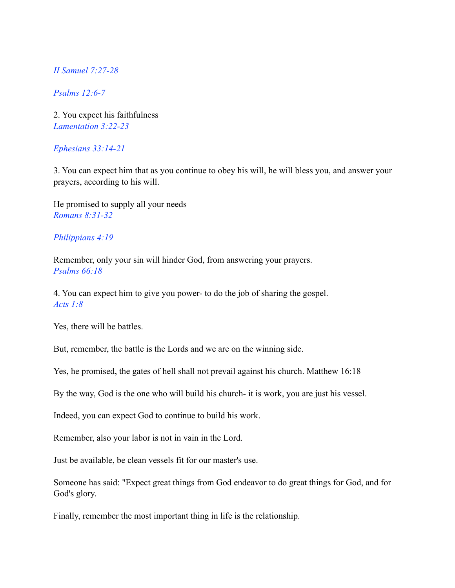*II Samuel 7:27-28* 

*Psalms 12:6-7* 

2. You expect his faithfulness *Lamentation 3:22-23* 

#### *Ephesians 33:14-21*

3. You can expect him that as you continue to obey his will, he will bless you, and answer your prayers, according to his will.

He promised to supply all your needs *Romans 8:31-32* 

#### *Philippians 4:19*

Remember, only your sin will hinder God, from answering your prayers. *Psalms 66:18* 

4. You can expect him to give you power- to do the job of sharing the gospel. *Acts 1:8* 

Yes, there will be battles.

But, remember, the battle is the Lords and we are on the winning side.

Yes, he promised, the gates of hell shall not prevail against his church. Matthew 16:18

By the way, God is the one who will build his church- it is work, you are just his vessel.

Indeed, you can expect God to continue to build his work.

Remember, also your labor is not in vain in the Lord.

Just be available, be clean vessels fit for our master's use.

Someone has said: "Expect great things from God endeavor to do great things for God, and for God's glory.

Finally, remember the most important thing in life is the relationship.